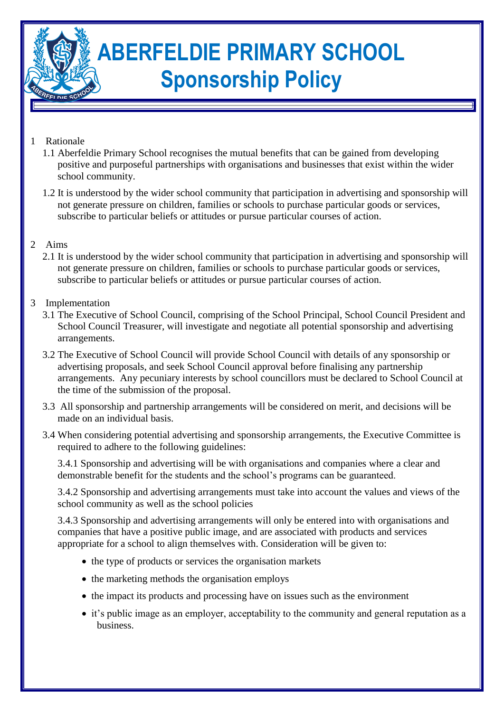# **ABERFELDIE PRIMARY SCHOOL Sponsorship Policy**

## 1 Rationale

- 1.1 Aberfeldie Primary School recognises the mutual benefits that can be gained from developing positive and purposeful partnerships with organisations and businesses that exist within the wider school community.
- 1.2 It is understood by the wider school community that participation in advertising and sponsorship will not generate pressure on children, families or schools to purchase particular goods or services, subscribe to particular beliefs or attitudes or pursue particular courses of action.

### 2 Aims

2.1 It is understood by the wider school community that participation in advertising and sponsorship will not generate pressure on children, families or schools to purchase particular goods or services, subscribe to particular beliefs or attitudes or pursue particular courses of action.

### 3 Implementation

- 3.1 The Executive of School Council, comprising of the School Principal, School Council President and School Council Treasurer, will investigate and negotiate all potential sponsorship and advertising arrangements.
- 3.2 The Executive of School Council will provide School Council with details of any sponsorship or advertising proposals, and seek School Council approval before finalising any partnership arrangements. Any pecuniary interests by school councillors must be declared to School Council at the time of the submission of the proposal.
- 3.3 All sponsorship and partnership arrangements will be considered on merit, and decisions will be made on an individual basis.
- 3.4 When considering potential advertising and sponsorship arrangements, the Executive Committee is required to adhere to the following guidelines:

3.4.1 Sponsorship and advertising will be with organisations and companies where a clear and demonstrable benefit for the students and the school's programs can be guaranteed.

3.4.2 Sponsorship and advertising arrangements must take into account the values and views of the school community as well as the school policies

3.4.3 Sponsorship and advertising arrangements will only be entered into with organisations and companies that have a positive public image, and are associated with products and services appropriate for a school to align themselves with. Consideration will be given to:

- $\bullet$  the type of products or services the organisation markets
- the marketing methods the organisation employs
- the impact its products and processing have on issues such as the environment
- it's public image as an employer, acceptability to the community and general reputation as a business.